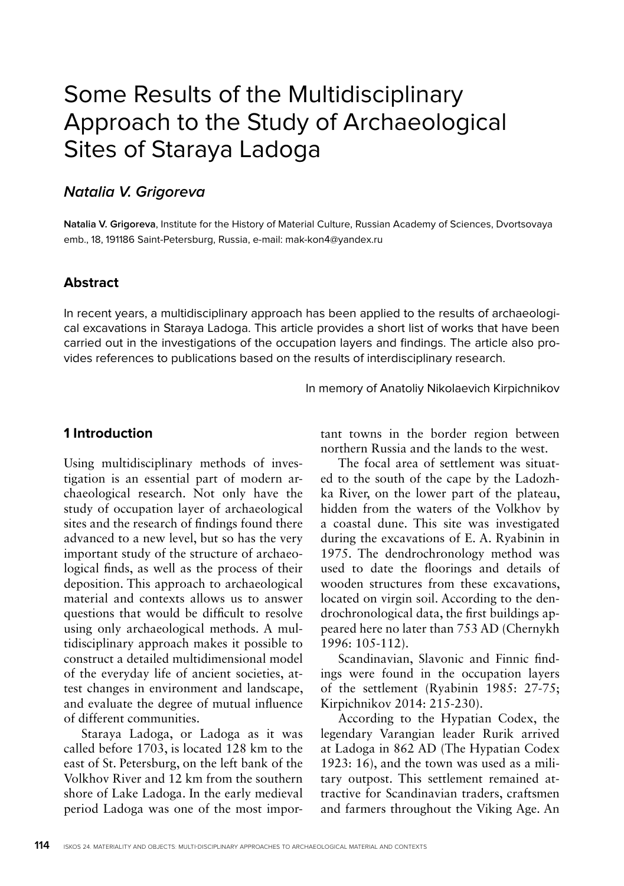# Some Results of the Multidisciplinary Approach to the Study of Archaeological Sites of Staraya Ladoga

## **Natalia V. Grigoreva**

**Natalia V. Grigoreva**, Institute for the History of Material Culture, Russian Academy of Sciences, Dvortsovaya emb., 18, 191186 Saint-Petersburg, Russia, e-mail: mak-kon4@yandex.ru

#### **Abstract**

In recent years, a multidisciplinary approach has been applied to the results of archaeological excavations in Staraya Ladoga. This article provides a short list of works that have been carried out in the investigations of the occupation layers and findings. The article also provides references to publications based on the results of interdisciplinary research.

In memory of Anatoliy Nikolaevich Kirpichnikov

#### **1 Introduction**

Using multidisciplinary methods of investigation is an essential part of modern archaeological research. Not only have the study of occupation layer of archaeological sites and the research of findings found there advanced to a new level, but so has the very important study of the structure of archaeological finds, as well as the process of their deposition. This approach to archaeological material and contexts allows us to answer questions that would be difficult to resolve using only archaeological methods. A multidisciplinary approach makes it possible to construct a detailed multidimensional model of the everyday life of ancient societies, attest changes in environment and landscape, and evaluate the degree of mutual influence of different communities.

Staraya Ladoga, or Ladoga as it was called before 1703, is located 128 km to the east of St. Petersburg, on the left bank of the Volkhov River and 12 km from the southern shore of Lake Ladoga. In the early medieval period Ladoga was one of the most important towns in the border region between northern Russia and the lands to the west.

The focal area of settlement was situated to the south of the cape by the Ladozhka River, on the lower part of the plateau, hidden from the waters of the Volkhov by a coastal dune. This site was investigated during the excavations of E. A. Ryabinin in 1975. The dendrochronology method was used to date the floorings and details of wooden structures from these excavations, located on virgin soil. According to the dendrochronological data, the first buildings appeared here no later than 753 AD (Chernykh 1996: 105-112).

Scandinavian, Slavonic and Finnic findings were found in the occupation layers of the settlement (Ryabinin 1985: 27-75; Kirpichnikov 2014: 215-230).

According to the Hypatian Codex, the legendary Varangian leader Rurik arrived at Ladoga in 862 AD (The Hypatian Codex 1923: 16), and the town was used as a military outpost. This settlement remained attractive for Scandinavian traders, craftsmen and farmers throughout the Viking Age. An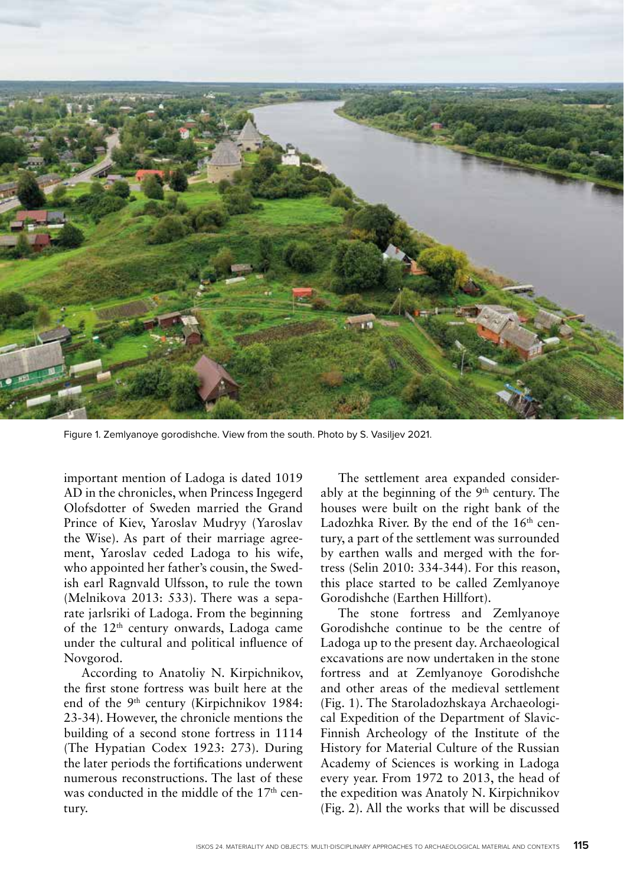

Figure 1. Zemlyanoye gorodishche. View from the south. Photo by S. Vasiljev 2021.

important mention of Ladoga is dated 1019 AD in the chronicles, when Princess Ingegerd Olofsdotter of Sweden married the Grand Prince of Kiev, Yaroslav Mudryy (Yaroslav the Wise). As part of their marriage agreement, Yaroslav ceded Ladoga to his wife, who appointed her father's cousin, the Swedish earl Ragnvald Ulfsson, to rule the town (Melnikova 2013: 533). There was a separate jarlsriki of Ladoga. From the beginning of the 12th century onwards, Ladoga came under the cultural and political influence of Novgorod.

According to Anatoliy N. Kirpichnikov, the first stone fortress was built here at the end of the 9<sup>th</sup> century (Kirpichnikov 1984: 23-34). However, the chronicle mentions the building of a second stone fortress in 1114 (The Hypatian Codex 1923: 273). During the later periods the fortifications underwent numerous reconstructions. The last of these was conducted in the middle of the  $17<sup>th</sup>$  century.

The settlement area expanded considerably at the beginning of the 9th century. The houses were built on the right bank of the Ladozhka River. By the end of the  $16<sup>th</sup>$  century, a part of the settlement was surrounded by earthen walls and merged with the fortress (Selin 2010: 334-344). For this reason, this place started to be called Zemlyanoye Gorodishche (Earthen Hillfort).

The stone fortress and Zemlyanoye Gorodishche continue to be the centre of Ladoga up to the present day. Archaeological excavations are now undertaken in the stone fortress and at Zemlyanoye Gorodishche and other areas of the medieval settlement (Fig. 1). The Staroladozhskaya Archaeological Expedition of the Department of Slavic-Finnish Archeology of the Institute of the History for Material Culture of the Russian Academy of Sciences is working in Ladoga every year. From 1972 to 2013, the head of the expedition was Anatoly N. Kirpichnikov (Fig. 2). All the works that will be discussed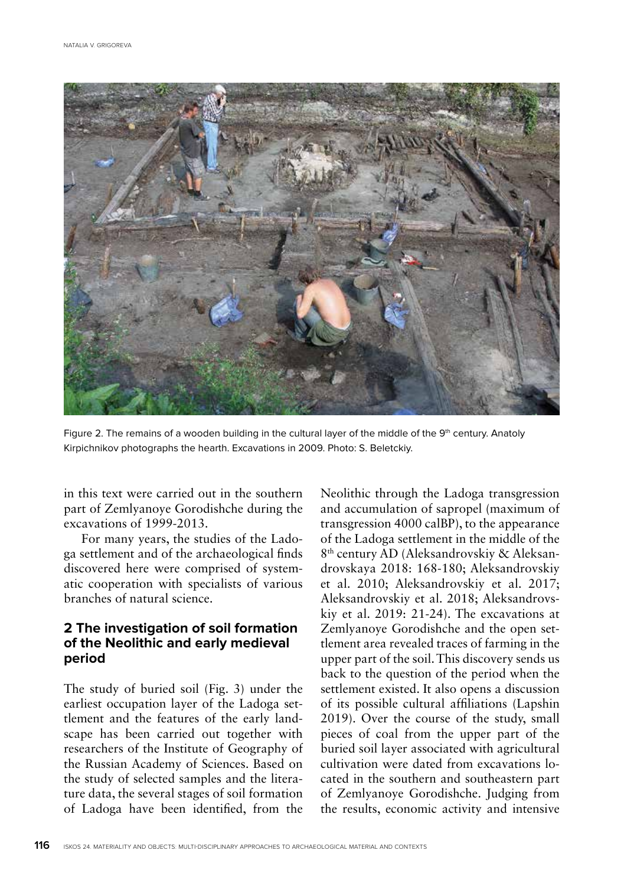

Figure 2. The remains of a wooden building in the cultural layer of the middle of the 9<sup>th</sup> century. Anatoly Kirpichnikov photographs the hearth. Excavations in 2009. Photo: S. Beletckiy.

in this text were carried out in the southern part of Zemlyanoye Gorodishche during the excavations of 1999-2013.

For many years, the studies of the Ladoga settlement and of the archaeological finds discovered here were comprised of systematic cooperation with specialists of various branches of natural science.

#### **2 The investigation of soil formation of the Neolithic and early medieval period**

The study of buried soil (Fig. 3) under the earliest occupation layer of the Ladoga settlement and the features of the early landscape has been carried out together with researchers of the Institute of Geography of the Russian Academy of Sciences. Based on the study of selected samples and the literature data, the several stages of soil formation of Ladoga have been identified, from the

Neolithic through the Ladoga transgression and accumulation of sapropel (maximum of transgression 4000 calBP), to the appearance of the Ladoga settlement in the middle of the 8th century AD (Aleksandrovskiy & Aleksandrovskaya 2018: 168-180; Aleksandrovskiy et al. 2010; Aleksandrovskiy et al. 2017; Aleksandrovskiy et al. 2018; Aleksandrovskiy et al. 2019: 21-24). The excavations at Zemlyanoye Gorodishche and the open settlement area revealed traces of farming in the upper part of the soil. This discovery sends us back to the question of the period when the settlement existed. It also opens a discussion of its possible cultural affiliations (Lapshin 2019). Over the course of the study, small pieces of coal from the upper part of the buried soil layer associated with agricultural cultivation were dated from excavations located in the southern and southeastern part of Zemlyanoye Gorodishche. Judging from the results, economic activity and intensive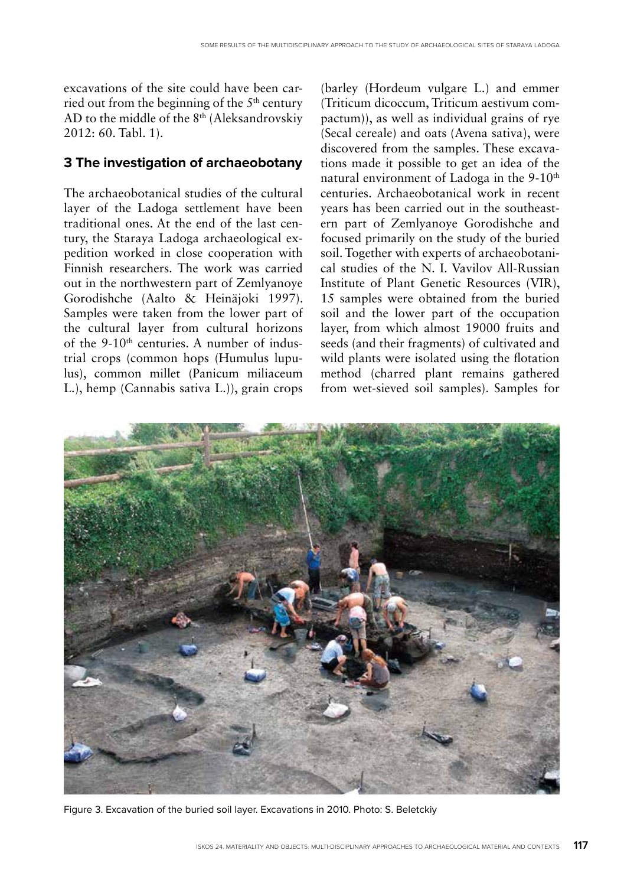excavations of the site could have been carried out from the beginning of the  $5<sup>th</sup>$  century AD to the middle of the 8th (Aleksandrovskiy 2012: 60. Tabl. 1).

#### **3 The investigation of archaeobotany**

The archaeobotanical studies of the cultural layer of the Ladoga settlement have been traditional ones. At the end of the last century, the Staraya Ladoga archaeological expedition worked in close cooperation with Finnish researchers. The work was carried out in the northwestern part of Zemlyanoye Gorodishche (Aalto & Heinäjoki 1997). Samples were taken from the lower part of the cultural layer from cultural horizons of the  $9-10<sup>th</sup>$  centuries. A number of industrial crops (common hops (Humulus lupulus), common millet (Panicum miliaceum L.), hemp (Cannabis sativa L.)), grain crops (barley (Hordeum vulgare L.) and emmer (Triticum dicoccum, Triticum aestivum compactum)), as well as individual grains of rye (Secal cereale) and oats (Avena sativa), were discovered from the samples. These excavations made it possible to get an idea of the natural environment of Ladoga in the 9-10<sup>th</sup> centuries. Archaeobotanical work in recent years has been carried out in the southeastern part of Zemlyanoye Gorodishche and focused primarily on the study of the buried soil. Together with experts of archaeobotanical studies of the N. I. Vavilov All-Russian Institute of Plant Genetic Resources (VIR), 15 samples were obtained from the buried soil and the lower part of the occupation layer, from which almost 19000 fruits and seeds (and their fragments) of cultivated and wild plants were isolated using the flotation method (charred plant remains gathered from wet-sieved soil samples). Samples for



Figure 3. Excavation of the buried soil layer. Excavations in 2010. Photo: S. Beletckiy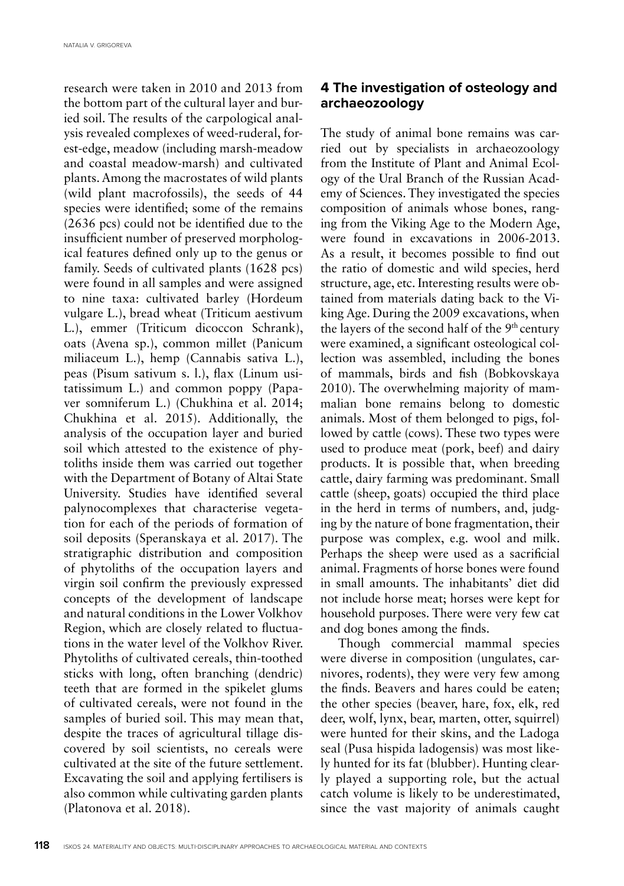research were taken in 2010 and 2013 from the bottom part of the cultural layer and buried soil. The results of the carpological analysis revealed complexes of weed-ruderal, forest-edge, meadow (including marsh-meadow and coastal meadow-marsh) and cultivated plants. Among the macrostates of wild plants (wild plant macrofossils), the seeds of 44 species were identified; some of the remains (2636 pcs) could not be identified due to the insufficient number of preserved morphological features defined only up to the genus or family. Seeds of cultivated plants (1628 pcs) were found in all samples and were assigned to nine taxa: cultivated barley (Hordeum vulgare L.), bread wheat (Triticum aestivum L.), emmer (Triticum dicoccon Schrank), oats (Avena sp.), common millet (Panicum miliaceum L.), hemp (Cannabis sativa L.), peas (Pisum sativum s. l.), flax (Linum usitatissimum L.) and common poppy (Papaver somniferum L.) (Chukhina et al. 2014; Chukhina et al. 2015). Additionally, the analysis of the occupation layer and buried soil which attested to the existence of phytoliths inside them was carried out together with the Department of Botany of Altai State University. Studies have identified several palynocomplexes that characterise vegetation for each of the periods of formation of soil deposits (Speranskaya et al. 2017). The stratigraphic distribution and composition of phytoliths of the occupation layers and virgin soil confirm the previously expressed concepts of the development of landscape and natural conditions in the Lower Volkhov Region, which are closely related to fluctuations in the water level of the Volkhov River. Phytoliths of cultivated cereals, thin-toothed sticks with long, often branching (dendric) teeth that are formed in the spikelet glums of cultivated cereals, were not found in the samples of buried soil. This may mean that, despite the traces of agricultural tillage discovered by soil scientists, no cereals were cultivated at the site of the future settlement. Excavating the soil and applying fertilisers is also common while cultivating garden plants (Platonova et al. 2018).

## **4 The investigation of osteology and archaeozoology**

The study of animal bone remains was carried out by specialists in archaeozoology from the Institute of Plant and Animal Ecology of the Ural Branch of the Russian Academy of Sciences. They investigated the species composition of animals whose bones, ranging from the Viking Age to the Modern Age, were found in excavations in 2006-2013. As a result, it becomes possible to find out the ratio of domestic and wild species, herd structure, age, etc. Interesting results were obtained from materials dating back to the Viking Age. During the 2009 excavations, when the layers of the second half of the 9th century were examined, a significant osteological collection was assembled, including the bones of mammals, birds and fish (Bobkovskaya 2010). The overwhelming majority of mammalian bone remains belong to domestic animals. Most of them belonged to pigs, followed by cattle (cows). These two types were used to produce meat (pork, beef) and dairy products. It is possible that, when breeding cattle, dairy farming was predominant. Small cattle (sheep, goats) occupied the third place in the herd in terms of numbers, and, judging by the nature of bone fragmentation, their purpose was complex, e.g. wool and milk. Perhaps the sheep were used as a sacrificial animal. Fragments of horse bones were found in small amounts. The inhabitants' diet did not include horse meat; horses were kept for household purposes. There were very few cat and dog bones among the finds.

Though commercial mammal species were diverse in composition (ungulates, carnivores, rodents), they were very few among the finds. Beavers and hares could be eaten; the other species (beaver, hare, fox, elk, red deer, wolf, lynx, bear, marten, otter, squirrel) were hunted for their skins, and the Ladoga seal (Pusa hispida ladogensis) was most likely hunted for its fat (blubber). Hunting clearly played a supporting role, but the actual catch volume is likely to be underestimated, since the vast majority of animals caught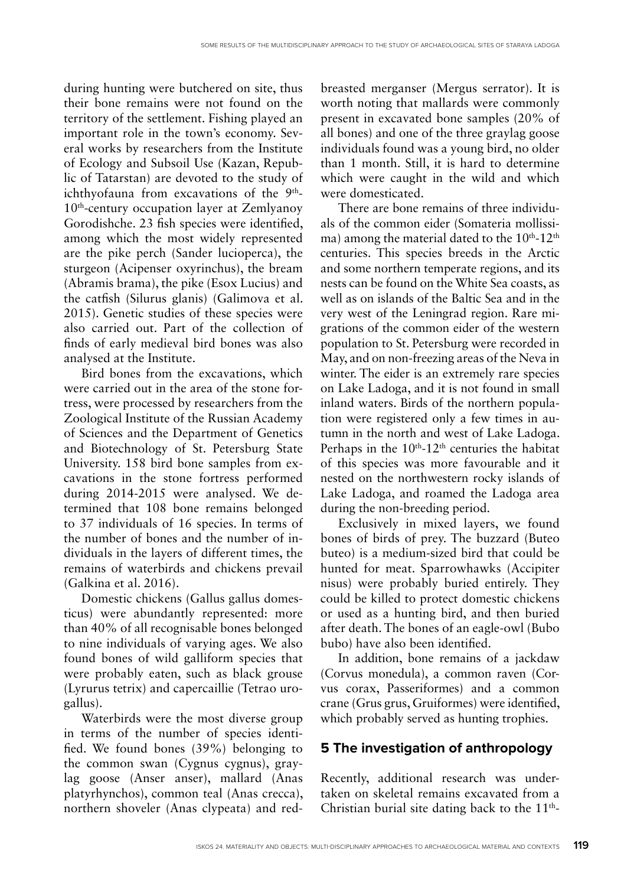during hunting were butchered on site, thus their bone remains were not found on the territory of the settlement. Fishing played an important role in the town's economy. Several works by researchers from the Institute of Ecology and Subsoil Use (Kazan, Republic of Tatarstan) are devoted to the study of ichthyofauna from excavations of the 9<sup>th</sup>-10<sup>th</sup>-century occupation layer at Zemlyanoy Gorodishche. 23 fish species were identified, among which the most widely represented are the pike perch (Sander lucioperca), the sturgeon (Acipenser oxyrinchus), the bream (Abramis brama), the pike (Esox Lucius) and the catfish (Silurus glanis) (Galimova et al. 2015). Genetic studies of these species were also carried out. Part of the collection of finds of early medieval bird bones was also analysed at the Institute.

Bird bones from the excavations, which were carried out in the area of the stone fortress, were processed by researchers from the Zoological Institute of the Russian Academy of Sciences and the Department of Genetics and Biotechnology of St. Petersburg State University. 158 bird bone samples from excavations in the stone fortress performed during 2014-2015 were analysed. We determined that 108 bone remains belonged to 37 individuals of 16 species. In terms of the number of bones and the number of individuals in the layers of different times, the remains of waterbirds and chickens prevail (Galkina et al. 2016).

Domestic chickens (Gallus gallus domesticus) were abundantly represented: more than 40% of all recognisable bones belonged to nine individuals of varying ages. We also found bones of wild galliform species that were probably eaten, such as black grouse (Lyrurus tetrix) and capercaillie (Tetrao urogallus).

Waterbirds were the most diverse group in terms of the number of species identified. We found bones (39%) belonging to the common swan (Cygnus cygnus), graylag goose (Anser anser), mallard (Anas platyrhynchos), common teal (Anas crecca), northern shoveler (Anas clypeata) and redbreasted merganser (Mergus serrator). It is worth noting that mallards were commonly present in excavated bone samples (20% of all bones) and one of the three graylag goose individuals found was a young bird, no older than 1 month. Still, it is hard to determine which were caught in the wild and which were domesticated.

There are bone remains of three individuals of the common eider (Somateria mollissima) among the material dated to the  $10^{th}$ - $12^{th}$ centuries. This species breeds in the Arctic and some northern temperate regions, and its nests can be found on the White Sea coasts, as well as on islands of the Baltic Sea and in the very west of the Leningrad region. Rare migrations of the common eider of the western population to St. Petersburg were recorded in May, and on non-freezing areas of the Neva in winter. The eider is an extremely rare species on Lake Ladoga, and it is not found in small inland waters. Birds of the northern population were registered only a few times in autumn in the north and west of Lake Ladoga. Perhaps in the  $10^{th}$ - $12^{th}$  centuries the habitat of this species was more favourable and it nested on the northwestern rocky islands of Lake Ladoga, and roamed the Ladoga area during the non-breeding period.

Exclusively in mixed layers, we found bones of birds of prey. The buzzard (Buteo buteo) is a medium-sized bird that could be hunted for meat. Sparrowhawks (Accipiter nisus) were probably buried entirely. They could be killed to protect domestic chickens or used as a hunting bird, and then buried after death. The bones of an eagle-owl (Bubo bubo) have also been identified.

In addition, bone remains of a jackdaw (Corvus monedula), a common raven (Corvus corax, Passeriformes) and a common crane (Grus grus, Gruiformes) were identified, which probably served as hunting trophies.

## **5 The investigation of anthropology**

Recently, additional research was undertaken on skeletal remains excavated from a Christian burial site dating back to the  $11<sup>th</sup>$ -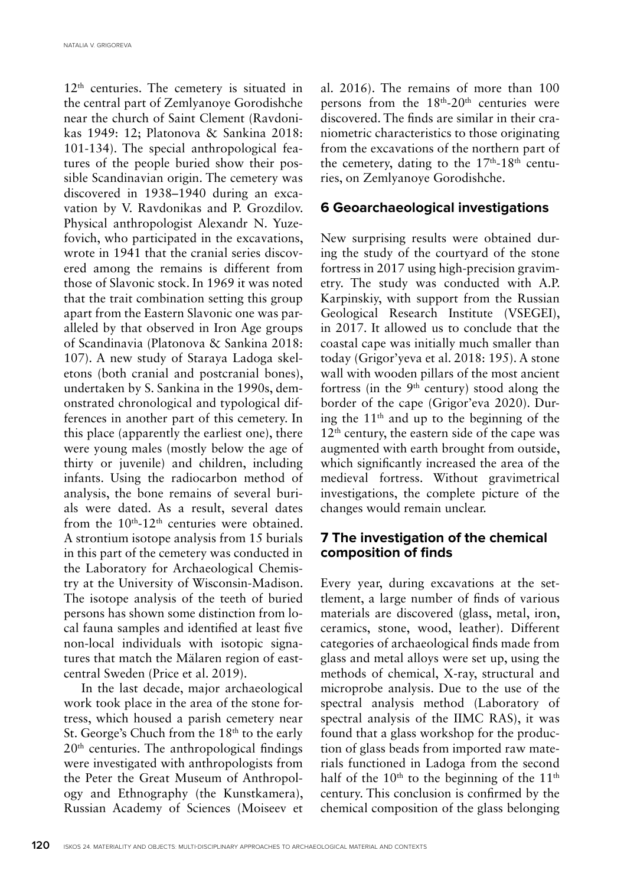12<sup>th</sup> centuries. The cemetery is situated in the central part of Zemlyanoye Gorodishche near the church of Saint Clement (Ravdonikas 1949: 12; Platonova & Sankina 2018: 101-134). The special anthropological features of the people buried show their possible Scandinavian origin. The cemetery was discovered in 1938–1940 during an excavation by V. Ravdonikas and P. Grozdilov. Physical anthropologist Alexandr N. Yuzefovich, who participated in the excavations, wrote in 1941 that the cranial series discovered among the remains is different from those of Slavonic stock. In 1969 it was noted that the trait combination setting this group apart from the Eastern Slavonic one was paralleled by that observed in Iron Age groups of Scandinavia (Platonova & Sankina 2018: 107). A new study of Staraya Ladoga skeletons (both cranial and postcranial bones), undertaken by S. Sankina in the 1990s, demonstrated chronological and typological differences in another part of this cemetery. In this place (apparently the earliest one), there were young males (mostly below the age of thirty or juvenile) and children, including infants. Using the radiocarbon method of analysis, the bone remains of several burials were dated. As a result, several dates from the  $10<sup>th</sup>-12<sup>th</sup>$  centuries were obtained. A strontium isotope analysis from 15 burials in this part of the cemetery was conducted in the Laboratory for Archaeological Chemistry at the University of Wisconsin-Madison. The isotope analysis of the teeth of buried persons has shown some distinction from local fauna samples and identified at least five non-local individuals with isotopic signatures that match the Mälaren region of eastcentral Sweden (Price et al. 2019).

In the last decade, major archaeological work took place in the area of the stone fortress, which housed a parish cemetery near St. George's Chuch from the 18<sup>th</sup> to the early  $20<sup>th</sup>$  centuries. The anthropological findings were investigated with anthropologists from the Peter the Great Museum of Anthropology and Ethnography (the Kunstkamera), Russian Academy of Sciences (Moiseev et

al. 2016). The remains of more than 100 persons from the  $18<sup>th</sup> - 20<sup>th</sup>$  centuries were discovered. The finds are similar in their craniometric characteristics to those originating from the excavations of the northern part of the cemetery, dating to the  $17<sup>th</sup>-18<sup>th</sup>$  centuries, on Zemlyanoye Gorodishche.

#### **6 Geoarchaeological investigations**

New surprising results were obtained during the study of the courtyard of the stone fortress in 2017 using high-precision gravimetry. The study was conducted with A.P. Karpinskiy, with support from the Russian Geological Research Institute (VSEGEI), in 2017. It allowed us to conclude that the coastal cape was initially much smaller than today (Grigor'yeva et al. 2018: 195). A stone wall with wooden pillars of the most ancient fortress (in the 9<sup>th</sup> century) stood along the border of the cape (Grigor'eva 2020). During the  $11<sup>th</sup>$  and up to the beginning of the  $12<sup>th</sup>$  century, the eastern side of the cape was augmented with earth brought from outside, which significantly increased the area of the medieval fortress. Without gravimetrical investigations, the complete picture of the changes would remain unclear.

## **7 The investigation of the chemical composition of finds**

Every year, during excavations at the settlement, a large number of finds of various materials are discovered (glass, metal, iron, ceramics, stone, wood, leather). Different categories of archaeological finds made from glass and metal alloys were set up, using the methods of chemical, X-ray, structural and microprobe analysis. Due to the use of the spectral analysis method (Laboratory of spectral analysis of the IIMC RAS), it was found that a glass workshop for the production of glass beads from imported raw materials functioned in Ladoga from the second half of the  $10<sup>th</sup>$  to the beginning of the  $11<sup>th</sup>$ century. This conclusion is confirmed by the chemical composition of the glass belonging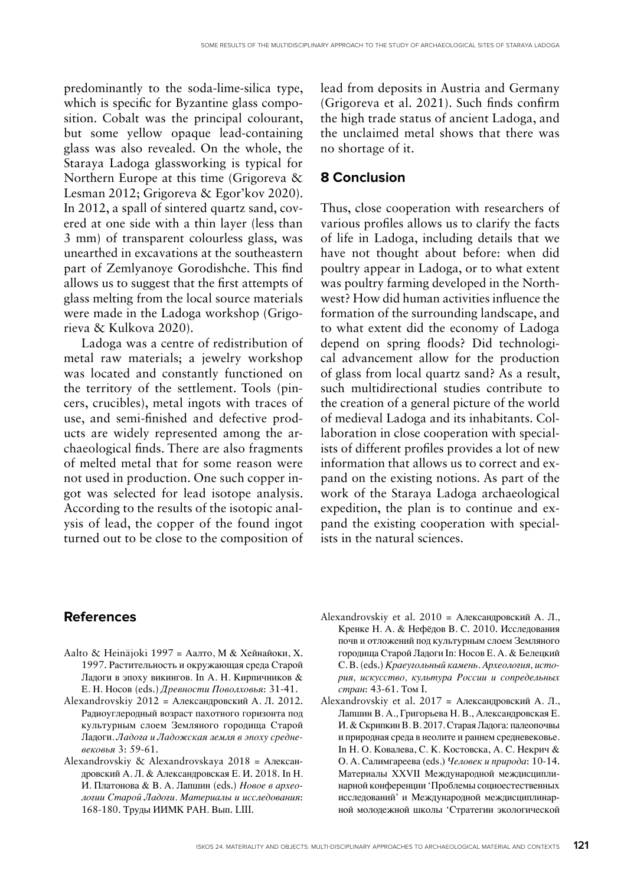predominantly to the soda-lime-silica type, which is specific for Byzantine glass composition. Cobalt was the principal colourant, but some yellow opaque lead-containing glass was also revealed. On the whole, the Staraya Ladoga glassworking is typical for Northern Europe at this time (Grigoreva & Lesman 2012; Grigoreva & Egor'kov 2020). In 2012, a spall of sintered quartz sand, covered at one side with a thin layer (less than 3 mm) of transparent colourless glass, was unearthed in excavations at the southeastern part of Zemlyanoye Gorodishche. This find allows us to suggest that the first attempts of glass melting from the local source materials were made in the Ladoga workshop (Grigorieva & Kulkova 2020).

Ladoga was a centre of redistribution of metal raw materials; a jewelry workshop was located and constantly functioned on the territory of the settlement. Tools (pincers, crucibles), metal ingots with traces of use, and semi-finished and defective products are widely represented among the archaeological finds. There are also fragments of melted metal that for some reason were not used in production. One such copper ingot was selected for lead isotope analysis. According to the results of the isotopic analysis of lead, the copper of the found ingot turned out to be close to the composition of lead from deposits in Austria and Germany (Grigoreva et al. 2021). Such finds confirm the high trade status of ancient Ladoga, and the unclaimed metal shows that there was no shortage of it.

#### **8 Conclusion**

Thus, close cooperation with researchers of various profiles allows us to clarify the facts of life in Ladoga, including details that we have not thought about before: when did poultry appear in Ladoga, or to what extent was poultry farming developed in the Northwest? How did human activities influence the formation of the surrounding landscape, and to what extent did the economy of Ladoga depend on spring floods? Did technological advancement allow for the production of glass from local quartz sand? As a result, such multidirectional studies contribute to the creation of a general picture of the world of medieval Ladoga and its inhabitants. Collaboration in close cooperation with specialists of different profiles provides a lot of new information that allows us to correct and expand on the existing notions. As part of the work of the Staraya Ladoga archaeological expedition, the plan is to continue and expand the existing cooperation with specialists in the natural sciences.

#### **References**

- Aalto & Heinäjoki 1997 = Аалто, М & Хейнайоки, Х. 1997. Растительность и окружающая среда Старой Ладоги в эпоху викингов. In А. Н. Кирпичников & Е. Н. Носов (eds.) *Древности Поволховья*: 31-41.
- Alexandrovskiy 2012 = Александровский А. Л. 2012. Радиоуглеродный возраст пахотного горизонта под культурным слоем Земляного городища Старой Ладоги. *Ладога и Ладожская земля в эпоху средневековья* 3: 59-61.
- Alexandrovskiy & Alexandrovskaya 2018 = Александровский А. Л. & Александровская Е. И. 2018. In Н. И. Платонова & В. А. Лапшин (eds.) *Новое в археологии Старой Ладоги. Материалы и исследования*: 168-180. Труды ИИМК РАН. Вып. LIII.
- Alexandrovskiy et al. 2010 = Александровский А. Л., Кренке Н. А. & Нефёдов В. С. 2010. Исследования почв и отложений под культурным слоем Земляного городища Старой Ладоги In: Носов Е. А. & Белецкий С. В. (eds.) *Краеугольный камень. Археология, история, искусство, культура России и сопредельных стран*: 43-61. Том I.
- Alexandrovskiy et al. 2017 = Александровский А. Л., Лапшин В. А., Григорьева Н. В., Александровская Е. И. & Скрипкин В. В. 2017. Старая Ладога: палеопочвы и природная среда в неолите и раннем средневековье. In Н. О. Ковалева, С. К. Костовска, А. С. Некрич & О. А. Салимгареева (eds.) *Человек и природа*: 10-14. Материалы XXVII Международной междисциплинарной конференции 'Проблемы социоестественных исследований' и Международной междисциплинарной молодежной школы 'Стратегии экологической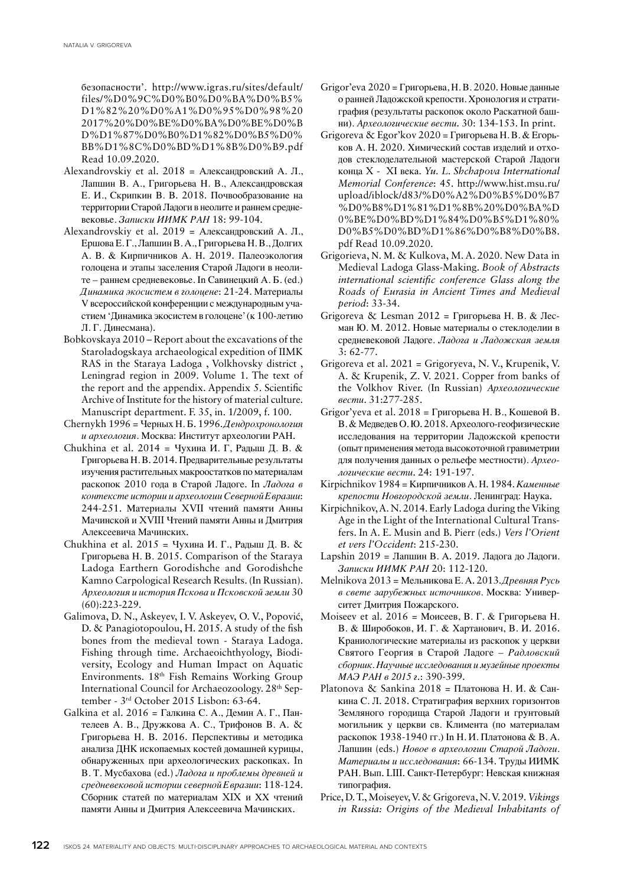безопасности'. http://www.igras.ru/sites/default/ files/%D0%9C%D0%B0%D0%BA%D0%B5% D1%82%20%D0%A1%D0%95%D0%98%20 2017%20%D0%BE%D0%BA%D0%BE%D0%B D%D1%87%D0%B0%D1%82%D0%B5%D0% BB%D1%8C%D0%BD%D1%8B%D0%B9.pdf Read 10.09.2020.

- Alexandrovskiy et al. 2018 = Александровский А. Л., Лапшин В. А., Григорьева Н. В., Александровская Е. И., Скрипкин В. В. 2018. Почвообразование на территории Старой Ладоги в неолите и раннем средневековье. *Записки ИИМК РАН* 18: 99-104.
- Alexandrovskiy et al. 2019 = Александровский А. Л., Ершова Е. Г., Лапшин В. А., Григорьева Н. В., Долгих А. В. & Кирпичников А. Н. 2019. Палеоэкология голоцена и этапы заселения Старой Ладоги в неолите – раннем средневековье. In Савинецкий А. Б. (ed.) *Динамика экосистем в голоцене*: 21-24. Материалы V всероссийской конференции с международным участием 'Динамика экосистем в голоцене' (к 100-летию Л. Г. Динесмана).
- Bobkovskaya 2010 Report about the excavations of the Staroladogskaya archaeological expedition of IIMK RAS in the Staraya Ladoga , Volkhovsky district , Leningrad region in 2009. Volume 1. The text of the report and the appendix. Appendix 5. Scientific Archive of Institute for the history of material culture. Manuscript department. F. 35, in. 1/2009, f. 100.
- Chernykh 1996 = Черных Н. Б. 1996. *Дендрохронология и археология*. Москва: Институт археологии РАН.
- Chukhina et al. 2014 = Чухина И. Г, Радыш Д. В. & Григорьева Н. В. 2014. Предварительные результаты изучения растительных макроостатков по материалам раскопок 2010 года в Старой Ладоге. In *Ладога в контексте истории и археологии Северной Евразии*: 244-251. Материалы XVII чтений памяти Анны Мачинской и XVIII Чтений памяти Анны и Дмитрия Алексеевича Мачинских.
- Chukhina et al. 2015 = Чухина И. Г., Радыш Д. В. & Григорьева Н. В. 2015. Comparison of the Staraya Ladoga Earthern Gorodishche and Gorodishche Kamno Carpological Research Results. (In Russian). *Археология и история Пскова и Псковской земли* 30 (60):223-229.
- Galimova, D. N., Askeyev, I. V. Askeyev, O. V., Popović, D. & Panagiotopoulou, H. 2015. A study of the fish bones from the medieval town - Staraya Ladoga. Fishing through time. Archaeoichthyology, Biodiversity, Ecology and Human Impact on Aquatic Environments. 18th Fish Remains Working Group International Council for Archaeozoology. 28th September - 3rd October 2015 Lisbon: 63-64.
- Galkina et al. 2016 = Галкина С. А., Демин А. Г., Пантелеев А. В., Дружкова А. С., Трифонов В. А. & Григорьева Н. В. 2016. Перспективы и методика анализа ДНК ископаемых костей домашней курицы, обнаруженных при археологических раскопках. In В. Т. Мусбахова (ed.) *Ладога и проблемы древней и средневековой истории северной Евразии*: 118-124. Сборник статей по материалам XIX и ХХ чтений памяти Анны и Дмитрия Алексеевича Мачинских.
- Grigor'eva 2020 = Григорьева, Н. В. 2020. Новые данные о ранней Ладожской крепости. Хронология и стратиграфия (результаты раскопок около Раскатной башни). *Археологические вести*. 30: 134-153. In print.
- Grigoreva & Egor'kov 2020 = Григорьева Н. В. & Егорьков А. Н. 2020. Химический состав изделий и отходов стеклоделательной мастерской Старой Ладоги конца X - XI века. *Yu. L. Shchapova International Memorial Conference*: 45. http://www.hist.msu.ru/ upload/iblock/d83/%D0%A2%D0%B5%D0%B7 %D0%B8%D1%81%D1%8B%20%D0%BA%D 0%BE%D0%BD%D1%84%D0%B5%D1%80% D0%B5%D0%BD%D1%86%D0%B8%D0%B8. pdf Read 10.09.2020.
- Grigorieva, N. М. & Kulkova, M. A. 2020. New Data in Medieval Ladoga Glass-Making. *Book of Abstracts international scientific conference Glass along the Roads of Eurasia in Ancient Times and Medieval period*: 33-34.
- Grigoreva & Lesman  $2012 = \Gamma$ ригорьева Н. В. & Лесман Ю. М. 2012. Новые материалы о стеклоделии в средневековой Ладоге. *Ладога и Ладожская земля* 3: 62-77.
- Grigoreva et al. 2021 = Grigoryeva, N. V., Krupenik, V. A. & Krupenik, Z. V. 2021. Copper from banks of the Volkhov River. (In Russian) *Археологические вести*. 31:277-285.
- Grigor'yeva et al. 2018 = Григорьева Н. В., Кошевой В. В. & Медведев О. Ю. 2018. Археолого-геофизические исследования на территории Ладожской крепости (опыт применения метода высокоточной гравиметрии для получения данных о рельефе местности). *Археологические вести*. 24: 191-197.
- Kirpichnikov 1984 = Кирпичников А. Н. 1984. *Каменные крепости Новгородской земли*. Ленинград: Наука.
- Kirpichnikov, A. N. 2014. Early Ladoga during the Viking Age in the Light of the International Cultural Transfers. In A. E. Musin and B. Pierr (eds.) *Vers l'Orient et vers l'Occident*: 215-230.
- Lapshin 2019 = Лапшин В. А. 2019. Ладога до Ладоги. *Записки ИИМК РАН* 20: 112-120.
- Melnikova 2013 = Мельникова Е. А. 2013. *Древняя Русь в свете зарубежных источников*. Москва: Университет Дмитрия Пожарского.
- Moiseev et al. 2016 = Моисеев, В. Г. & Григорьева Н. В. & Широбоков, И. Г. & Хартанович, В. И. 2016. Краниологические материалы из раскопок у церкви Святого Георгия в Старой Ладоге – *Радловский сборник. Научные исследования и музейные проекты МАЭ РАН в 2015 г*.: 390-399.
- Platonova & Sankina 2018 = Платонова Н. И. & Санкина С. Л. 2018. Стратиграфия верхних горизонтов Земляного городища Старой Ладоги и грунтовый могильник у церкви св. Климента (по материалам раскопок 1938-1940 гг.) In Н. И. Платонова & В. А. Лапшин (eds.) *Новое в археологии Старой Ладоги. Материалы и исследования*: 66-134. Труды ИИМК РАН. Вып. LIII. Санкт-Петербург: Невская книжная типография.
- Price, D. T., Moiseyev, V. & Grigoreva, N. V. 2019. *Vikings in Russia: Origins of the Medieval Inhabitants of*